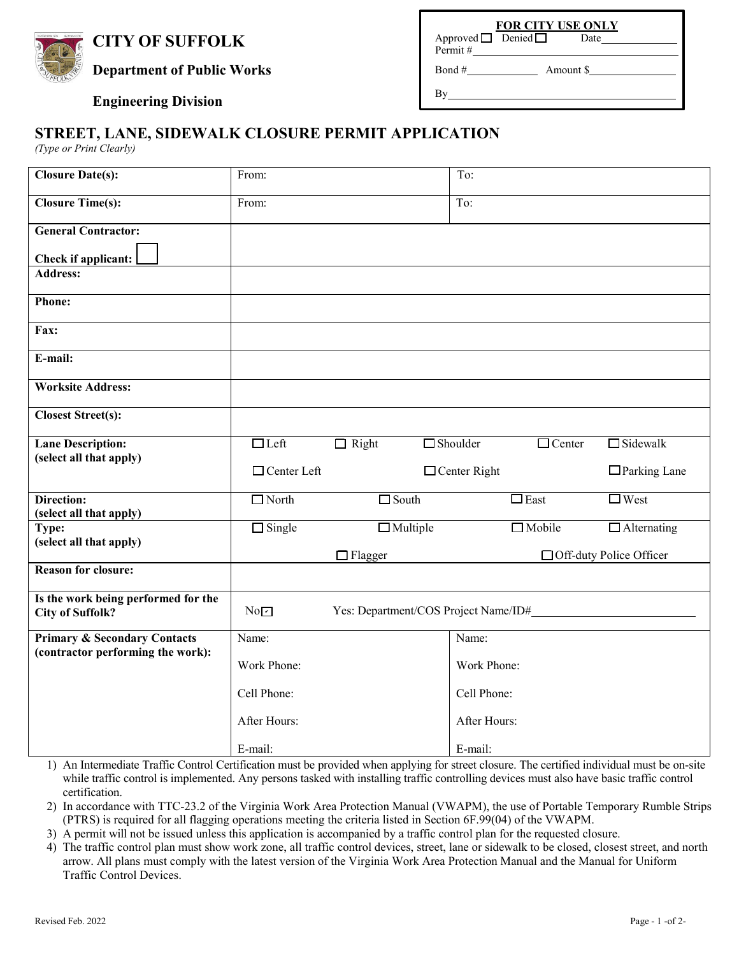# **CITY OF SUFFOLK**



**Department of Public Works** Bond # Bond # Amount \$

## **Engineering Division** By

#### **FOR CITY USE ONLY** Approved  $\Box$  Denied  $\Box$

Permit #

### **STREET, LANE, SIDEWALK CLOSURE PERMIT APPLICATION**

*(Type or Print Clearly)*

| <b>Closure Date(s):</b>                                        | From:                                       |                 |  | To:                                        |                           |                    |  |
|----------------------------------------------------------------|---------------------------------------------|-----------------|--|--------------------------------------------|---------------------------|--------------------|--|
| <b>Closure Time(s):</b>                                        | From:                                       |                 |  | $\overline{\text{To:}}$                    |                           |                    |  |
| <b>General Contractor:</b>                                     |                                             |                 |  |                                            |                           |                    |  |
| Check if applicant:                                            |                                             |                 |  |                                            |                           |                    |  |
| <b>Address:</b>                                                |                                             |                 |  |                                            |                           |                    |  |
| <b>Phone:</b>                                                  |                                             |                 |  |                                            |                           |                    |  |
| Fax:                                                           |                                             |                 |  |                                            |                           |                    |  |
| E-mail:                                                        |                                             |                 |  |                                            |                           |                    |  |
| <b>Worksite Address:</b>                                       |                                             |                 |  |                                            |                           |                    |  |
| <b>Closest Street(s):</b>                                      |                                             |                 |  |                                            |                           |                    |  |
| <b>Lane Description:</b>                                       | $\n  Left\n$                                | $\Box$ Right    |  | $\Box$ Shoulder                            | $\Box$ Center             | $\square$ Sidewalk |  |
| (select all that apply)                                        | $\Box$ Center Left                          |                 |  | $\Box$ Parking Lane<br>$\Box$ Center Right |                           |                    |  |
| <b>Direction:</b>                                              | $\Box$ North                                | $\square$ South |  |                                            | $\Box$ East               | $\Box$ West        |  |
| (select all that apply)                                        |                                             |                 |  |                                            | $\Box$ Mobile             |                    |  |
| Type:<br>(select all that apply)                               | $\Box$ Single                               | $\Box$ Multiple |  | $\Box$ Alternating                         |                           |                    |  |
|                                                                |                                             | $\Box$ Flagger  |  |                                            | □ Off-duty Police Officer |                    |  |
| <b>Reason for closure:</b>                                     |                                             |                 |  |                                            |                           |                    |  |
| Is the work being performed for the<br><b>City of Suffolk?</b> | Yes: Department/COS Project Name/ID#<br>NoZ |                 |  |                                            |                           |                    |  |
| <b>Primary &amp; Secondary Contacts</b>                        | $\overline{\text{Name}}$ :                  |                 |  | Name:                                      |                           |                    |  |
| (contractor performing the work):                              | Work Phone:                                 |                 |  | Work Phone:                                |                           |                    |  |
|                                                                | Cell Phone:                                 |                 |  | Cell Phone:                                |                           |                    |  |
|                                                                |                                             |                 |  |                                            |                           |                    |  |
|                                                                | After Hours:                                |                 |  | After Hours:                               |                           |                    |  |

1) An Intermediate Traffic Control Certification must be provided when applying for street closure. The certified individual must be on-site while traffic control is implemented. Any persons tasked with installing traffic controlling devices must also have basic traffic control certification.

2) In accordance with TTC-23.2 of the Virginia Work Area Protection Manual (VWAPM), the use of Portable Temporary Rumble Strips (PTRS) is required for all flagging operations meeting the criteria listed in Section 6F.99(04) of the VWAPM.

3) A permit will not be issued unless this application is accompanied by a traffic control plan for the requested closure.

4) The traffic control plan must show work zone, all traffic control devices, street, lane or sidewalk to be closed, closest street, and north arrow. All plans must comply with the latest version of the Virginia Work Area Protection Manual and the Manual for Uniform Traffic Control Devices.